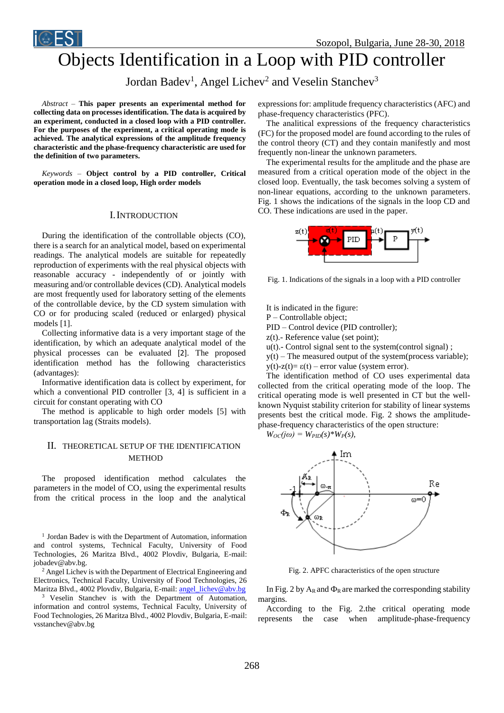

# Objects Identification in a Loop with PID controller

Jordan Badev<sup>1</sup>, Angel Lichev<sup>2</sup> and Veselin Stanchev<sup>3</sup>

*Abstract –* **This paper presents an experimental method for collecting data on processes identification. The data is acquired by an experiment, conducted in a closed loop with a PID controller. For the purposes of the experiment, a critical operating mode is achieved. The analytical expressions of the amplitude frequency characteristic and the phase-frequency characteristic are used for the definition of two parameters.**

*Keywords –* **Object control by a PID controller, Critical operation mode in a closed loop, High order models**

#### I.INTRODUCTION

During the identification of the controllable objects (CO), there is a search for an analytical model, based on experimental readings. The analytical models are suitable for repeatedly reproduction of experiments with the real physical objects with reasonable accuracy - independently of or jointly with measuring and/or controllable devices (CD). Analytical models are most frequently used for laboratory setting of the elements of the controllable device, by the CD system simulation with CO or for producing scaled (reduced or enlarged) physical models [1].

Collecting informative data is a very important stage of the identification, by which an adequate analytical model of the physical processes can be evaluated [2]. The proposed identification method has the following characteristics (advantages):

Informative identification data is collect by experiment, for which a conventional PID controller [3, 4] is sufficient in a circuit for constant operating with CO

The method is applicable to high order models [5] with transportation lag (Straits models).

## II. THEORETICAL SETUP OF THE IDENTIFICATION METHOD

The proposed identification method calculates the parameters in the model of CO, using the experimental results from the critical process in the loop and the analytical

<sup>1</sup> Jordan Badev is with the Department of Automation, information and control systems, Technical Faculty, University of Food Technologies, 26 Maritza Blvd., 4002 Plovdiv, Bulgaria, E-mail: jobadev@abv.bg.

<sup>2</sup> Angel Lichev is with the Department of Electrical Engineering and Electronics, Technical Faculty, University of Food Technologies, 26 Maritza Blvd., 4002 Plovdiv, Bulgaria, E-mail[: angel\\_lichev@abv.bg](mailto:angel_lichev@abv.bg)

<sup>3</sup> Veselin Stanchev is with the Department of Automation, information and control systems, Technical Faculty, University of Food Technologies, 26 Maritza Blvd., 4002 Plovdiv, Bulgaria, E-mail: vsstanchev@abv.bg

expressions for: amplitude frequency characteristics (AFC) and phase-frequency characteristics (PFC).

The analitical expressions of the frequency characteristics (FC) for the proposed model are found according to the rules of the control theory (CT) and they contain manifestly and most frequently non-linear the unknown parameters.

The experimental results for the amplitude and the phase are measured from a critical operation mode of the object in the closed loop. Eventually, the task becomes solving a system of non-linear equations, according to the unknown parameters. Fig. 1 shows the indications of the signals in the loop CD and CO. These indications are used in the paper.



Fig. 1. Indications of the signals in a loop with a PID controller

It is indicated in the figure:

P – Controllable object;

PID – Control device (PID controller);

 $z(t)$ .- Reference value (set point);

 $u(t)$ .- Control signal sent to the system(control signal);

 $y(t)$  – The measured output of the system(process variable); y(t)-z(t)= ε(t) – error value (system error).

The identification method of CO uses experimental data collected from the critical operating mode of the loop. The critical operating mode is well presented in CT but the wellknown Nyquist stability criterion for stability of linear systems presents best the critical mode. Fig. 2 shows the amplitudephase-frequency characteristics of the open structure:

 $W_{OC}(j\omega) = W_{PID}(s) * W_{P}(s),$ 



Fig. 2. APFC characteristics of the open structure

In Fig. 2 by  $A_R$  and  $\Phi_R$  are marked the corresponding stability margins.

According to the Fig. 2.the critical operating mode represents the case when amplitude-phase-frequency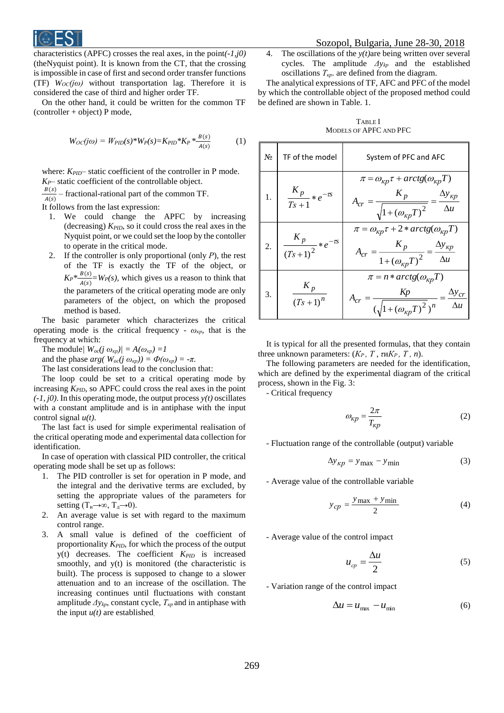

characteristics (APFC) crosses the real axes, in the point*(-1,j0)* (theNyquist point). It is known from the CT, that the crossing is impossible in case of first and second order transfer functions (TF)  $W_{\text{OC}}(i\omega)$  without transportation lag. Therefore it is considered the case of third and higher order TF.

On the other hand, it could be written for the common TF (controller + object) P mode,

$$
W_{OC}(j\omega) = W_{PID}(s) * W_{P}(s) = K_{PID} * K_{P} * \frac{B(s)}{A(s)}
$$
(1)

where:  $K_{PID}$ – static coefficient of the controller in P mode. *KP*– static coefficient of the controllable object.

 $\frac{B(s)}{f(s)}$  – fractional-rational part of the common TF.  $A(s)$ 

It follows from the last expression:

- 1. We could change the APFC by increasing (decreasing) *KPID,* so it could cross the real axes in the Nyquist point, or we could set the loop by the contoller to operate in the critical mode.
- 2. If the controller is only proportional (only *Р*), the rest of the TF is exactly the TF of the object, or  $K_P^*$ <sup>*B*(*s*)</sup>  $\frac{B(s)}{A(s)} = W_P(s)$ , which gives us a reason to think that the parameters of the critical operating mode are only parameters of the object, on which the proposed method is based.

The basic parameter which characterizes the critical operating mode is the critical frequency -  $\omega_{\kappa p}$ , that is the frequency at which:

The module/  $W_{oc}(j \omega_{\kappa p})/ = A(\omega_{\kappa p}) = 1$ 

and the phase  $arg(W_{oc}(j \omega_{\kappa p})) = \Phi(\omega_{\kappa p}) = -\pi$ .

The last considerations lead to the conclusion that:

The loop could be set to a critical operating mode by increasing *KPID,* so APFC could cross the real axes in the point *(-1, j0)*. In this operating mode, the output process *y(t)* oscillates with a constant amplitude and is in antiphase with the input control signal *u(t)*.

The last fact is used for simple experimental realisation of the critical operating mode and experimental data collection for identification.

In case of operation with classical PID controller, the critical operating mode shall be set up as follows:

- 1. The PID controller is set for operation in P mode, and the integral and the derivative terms are excluded, by setting the appropriate values of the parameters for setting  $(T_u\rightarrow\infty, T_u\rightarrow 0)$ .
- 2. An average value is set with regard to the maximum control range.
- 3. A small value is defined of the coefficient of proportionality *KPID*, for which the process of the output y(t) decreases. The coefficient *KPID* is increased smoothly, and y(t) is monitored (the characteristic is built). The process is supposed to change to a slower attenuation and to an increase of the oscillation. The increasing continues until fluctuations with constant amplitude *Δykр*, constant cycle, *Ткр* and in antiphase with the input  $u(t)$  are established.

4. The oscillations of the *y(t)*are being written over several cycles*.* The amplitude *Δykр* and the established oscillations *Ткр*. are defined from the diagram.

The analytical expressions of TF, AFC and PFC of the model by which the controllable object of the proposed method could be defined are shown in Table. 1.

TABLE I MODELS OF APFC AND PFC

| $N_2$ | TF of the model                      | System of PFC and AFC                                                                                                                                                                     |  |
|-------|--------------------------------------|-------------------------------------------------------------------------------------------------------------------------------------------------------------------------------------------|--|
| 1.    | $\frac{K_p}{Ts+1} * e^{-\tau s}$     | $\pi = \omega_{\kappa p} \tau + arctg(\omega_{\kappa p} T)$<br>$K_{p}$<br>$\Delta y_{\kappa p}$<br>$\sqrt{1 + (\omega_{\kappa p} T)^2}$<br>$\Delta u$                                     |  |
| 2.    | $\frac{K_p}{(Ts+1)^2} * e^{-\tau s}$ | $\pi = \omega_{\kappa p} \tau + 2 * arctg(\omega_{\kappa p} T)$<br>$\Delta y_{\kappa p}$<br>$=\frac{K_p}{1 + (\omega_{\kappa p} T)^2} = \frac{\Delta y_{\kappa p}}{\Delta u}$<br>$A_{cr}$ |  |
| 3.    | $K_p$<br>$(Ts+1)^n$                  | $\pi = n * arctg(\omega_{\kappa p}T)$<br>Kp<br>$\Delta y_{cr}$<br>$A_{cr}$<br>$(\sqrt{1 + (\omega_{\kappa p} T)^2})^n$<br>$\Delta u$                                                      |  |

It is typical for all the presented formulas, that they contain three unknown parameters:  $(K_P, T, \tau \times K_P, T, n)$ .

The following parameters are needed for the identification, which are defined by the experimental diagram of the critical process, shown in the Fig. 3:

- Critical frequency

$$
\omega_{\kappa p} = \frac{2\pi}{T_{\kappa p}}\tag{2}
$$

- Fluctuation range of the controllable (output) variable

$$
\Delta y_{kp} = y_{\text{max}} - y_{\text{min}} \tag{3}
$$

- Average value of the controllable variable

$$
y_{cp} = \frac{y_{\text{max}} + y_{\text{min}}}{2} \tag{4}
$$

- Average value of the control impact

$$
u_{cp} = \frac{\Delta u}{2} \tag{5}
$$

- Variation range of the control impact

$$
\Delta u = u_{\text{max}} - u_{\text{min}} \tag{6}
$$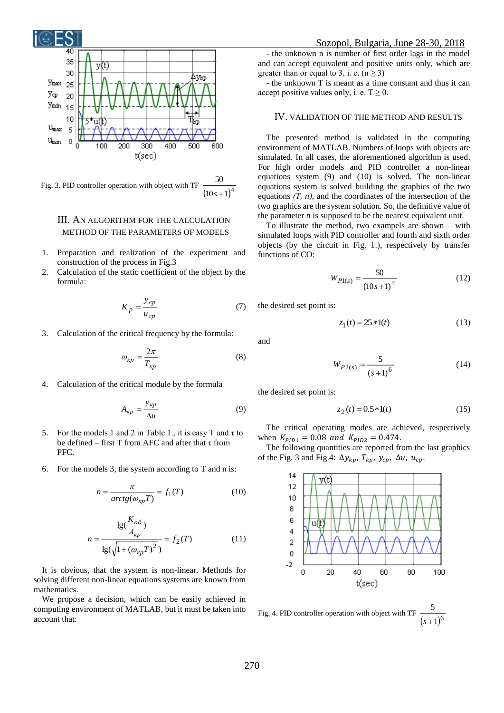

Fig. 3. PID controller operation with object with TF  $(10s + 1)^4$ 50 *s*

### III. AN ALGORITHM FOR THE CALCULATION METHOD OF THE PARAMETERS OF MODELS

- 1. Preparation and realization of the experiment and construction of the process in Fig.3
- 2. Calculation of the static coefficient of the object by the formula:

$$
K_p = \frac{y_{cp}}{u_{cp}}\tag{7}
$$

3. Calculation of the critical frequency by the formula:

$$
\omega_{\kappa p} = \frac{2\pi}{T_{\kappa p}}\tag{8}
$$

4. Calculation of the critical module by the formula

$$
A_{\kappa p} = \frac{y_{\kappa p}}{\Delta u} \tag{9}
$$

- 5. For the models 1 and 2 in Table 1., it is easy T and τ to be defined – first T from AFC and after that  $\tau$  from PFC.
- 6. For the models 3, the system according to T and n is:

$$
n = \frac{\pi}{\arctg(\omega_{\kappa p}T)} = f_1(T) \tag{10}
$$

$$
n = \frac{\lg(\frac{K_{o\delta}}{A_{kp}})}{\lg(\sqrt{1 + (\omega_{kp}T)^2})} = f_2(T)
$$
(11)

It is obvious, that the system is non-linear. Methods for solving different non-linear equations systems are known from mathematics.

We propose a decision, which can be easily achieved in computing environment of MATLAB, but it must be taken into account that:

- the unknown n is number of first order lags in the model and can accept equivalent and positive units only, which are greater than or equal to 3, i. e.  $(n \ge 3)$ 

- the unknown T is meant as a time constant and thus it can accept positive values only, i. e.  $T \ge 0$ .

#### IV. VALIDATION OF THE METHOD AND RESULTS

The presented method is validated in the computing environment of MATLAB. Numbers of loops with objects are simulated. In all cases, the aforementioned algorithm is used. For high order models and PID controller a non-linear equations system (9) and (10) is solved. The non-linear equations system is solved building the graphics of the two equations *(Т, n),* and the coordinates of the intersection of the two graphics are the system solution. So, the definitive value of the parameter *n* is supposed to be the nearest equivalent unit.

To illustrate the method, two exampels are shown – with simulated loops with PID controller and fourth and sixth order objects (by the circuit in Fig. 1.), respectively by transfer functions of CO:

$$
W_{P1(s)} = \frac{50}{(10s+1)^4} \tag{12}
$$

the desired set point is:

$$
z_1(t) = 25 * 1(t)
$$
 (13)

and

$$
W_{P2(s)} = \frac{5}{(s+1)^6} \tag{14}
$$

the desired set point is:

$$
z_2(t) = 0.5 * 1(t)
$$
 (15)

The critical operating modes are achieved, respectively when  $K_{PID1} = 0.08$  and  $K_{PID2} = 0.474$ .

The following quantities are reported from the last graphics of the Fig. 3 and Fig.4:  $\Delta y_{kp}$ ,  $T_{kp}$ ,  $y_{cp}$ ,  $\Delta u$ ,  $u_{cp}$ .



Fig. 4. PID controller operation with object with TF  $\frac{1}{(s+1)^6}$ 5 *s*